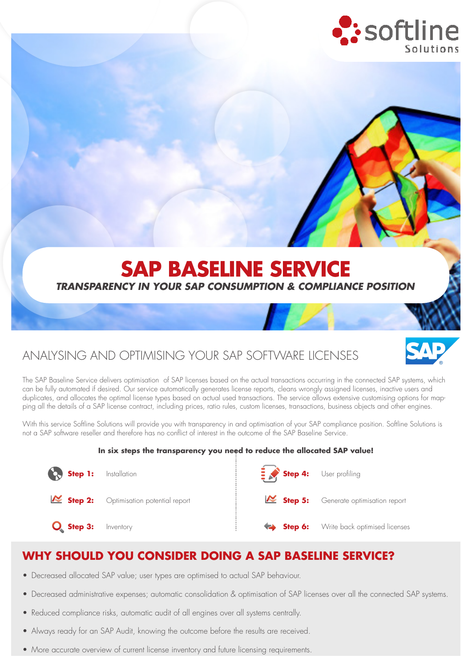

# **SAP BASELINE SERVICE**

#### *TRANSPARENCY IN YOUR SAP CONSUMPTION & COMPLIANCE POSITION*

## ANALYSING AND OPTIMISING YOUR SAP SOFTWARE LICENSES



With this service Softline Solutions will provide you with transparency in and optimisation of your SAP compliance position. Softline Solutions is not a SAP software reseller and therefore has no conflict of interest in the outcome of the SAP Baseline Service.

#### **In six steps the transparency you need to reduce the allocated SAP value!**

| <b>Co.</b> Step 1: Installation |                                       | Step 4: User profiling |                                       |
|---------------------------------|---------------------------------------|------------------------|---------------------------------------|
|                                 | Step 2: Optimisation potential report |                        | Step 5: Generate optimisation report  |
| $O_{\bullet}$ Step 3:           | Inventory                             |                        | Step 6: Write back optimised licenses |

#### **WHY SHOULD YOU CONSIDER DOING A SAP BASELINE SERVICE?**

- Decreased allocated SAP value; user types are optimised to actual SAP behaviour.
- Decreased administrative expenses; automatic consolidation & optimisation of SAP licenses over all the connected SAP systems.
- Reduced compliance risks, automatic audit of all engines over all systems centrally.
- Always ready for an SAP Audit, knowing the outcome before the results are received.
- More accurate overview of current license inventory and future licensing requirements.